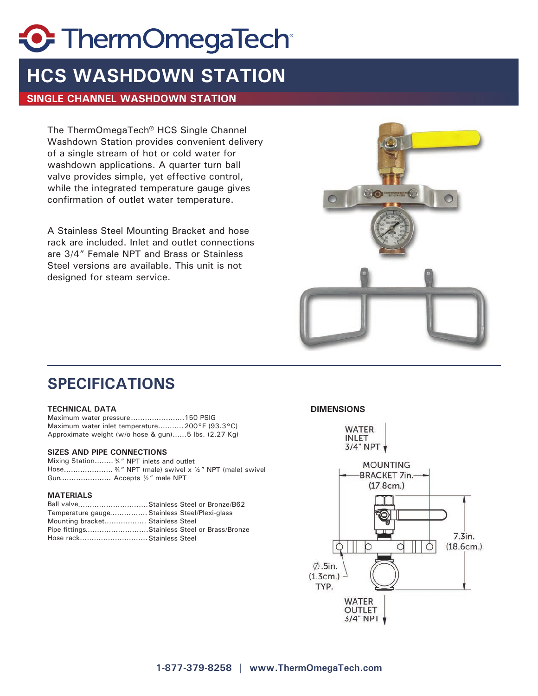# **C** ThermOmegaTech

### **HCS WASHDOWN STATION**

### **SINGLE CHANNEL WASHDOWN STATION**

The ThermOmegaTech® HCS Single Channel Washdown Station provides convenient delivery of a single stream of hot or cold water for washdown applications. A quarter turn ball valve provides simple, yet effective control, while the integrated temperature gauge gives confirmation of outlet water temperature.

A Stainless Steel Mounting Bracket and hose rack are included. Inlet and outlet connections are 3/4" Female NPT and Brass or Stainless Steel versions are available. This unit is not designed for steam service.



### **SPECIFICATIONS**

#### **TECHNICAL DATA DIMENSIONS**

Maximum water pressure.........................150 PSIG Maximum water inlet temperature........... 200°F (93.3°C) Approximate weight (w/o hose & gun)......5 lbs. (2.27 Kg)

#### **SIZES AND PIPE CONNECTIONS**

Mixing Station........ ¾" NPT inlets and outlet Hose...................... 34" NPT (male) swivel x 1/2" NPT (male) swivel Gun...................... Accepts 1/2" male NPT

### **MATERIALS**

| Ball valve Stainless Steel or Bronze/B62      |  |
|-----------------------------------------------|--|
| Temperature gauge Stainless Steel/Plexi-glass |  |
| Mounting bracket Stainless Steel              |  |
| Pipe fittingsStainless Steel or Brass/Bronze  |  |
| Hose rack Stainless Steel                     |  |